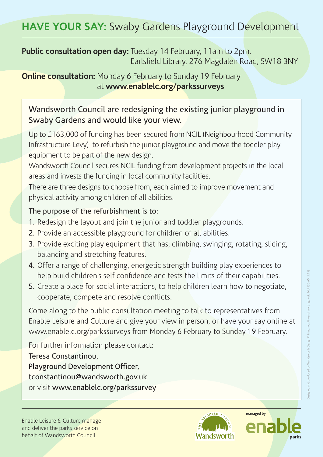## **Public consultation open day:** Tuesday 14 February, 11am to 2pm. Earlsfield Library, 276 Magdalen Road, SW18 3NY

**Online consultation:** Monday 6 February to Sunday 19 February at **www.enablelc.org/parkssurveys**

## Wandsworth Council are redesigning the existing junior playground in Swaby Gardens and would like your view.

Up to £163,000 of funding has been secured from NCIL (Neighbourhood Community Infrastructure Levy) to refurbish the junior playground and move the toddler play equipment to be part of the new design.

Wandsworth Council secures NCIL funding from development projects in the local areas and invests the funding in local community facilities.

There are three designs to choose from, each aimed to improve movement and physical activity among children of all abilities.

## The purpose of the refurbishment is to:

- 1. Redesign the layout and join the junior and toddler playgrounds.
- 2. Provide an accessible playground for children of all abilities.
- 3. Provide exciting play equipment that has; climbing, swinging, rotating, sliding, balancing and stretching features.
- 4. Offer a range of challenging, energetic strength building play experiences to help build children's self confidence and tests the limits of their capabilities.
- 5. Create a place for social interactions, to help children learn how to negotiate, cooperate, compete and resolve conflicts.

Come along to the public consultation meeting to talk to representatives from Enable Leisure and Culture and give your view in person, or have your say online at www.enablelc.org/parkssurveys from Monday 6 February to Sunday 19 February.

For further information please contact:

Teresa Constantinou, Playground Development Officer, tconstantinou@wandsworth.gov.uk or visit www.enablelc.org/parkssurvey